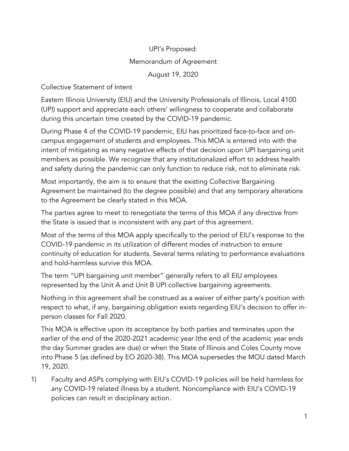## UPI's Proposed: Memorandum of Agreement August 19, 2020

Collective Statement of Intent

Eastern Illinois University (EIU) and the University Professionals of Illinois, Local 4100 (UPI) support and appreciate each others' willingness to cooperate and collaborate during this uncertain time created by the COVID-19 pandemic.

During Phase 4 of the COVID-19 pandemic, EIU has prioritized face-to-face and oncampus engagement of students and employees. This MOA is entered into with the intent of mitigating as many negative effects of that decision upon UPI bargaining unit members as possible. We recognize that any institutionalized effort to address health and safety during the pandemic can only function to reduce risk, not to eliminate risk.

Most importantly, the aim is to ensure that the existing Collective Bargaining Agreement be maintained (to the degree possible) and that any temporary alterations to the Agreement be clearly stated in this MOA.

The parties agree to meet to renegotiate the terms of this MOA if any directive from the State is issued that is inconsistent with any part of this agreement.

Most of the terms of this MOA apply specifically to the period of EIU's response to the COVID-19 pandemic in its utilization of different modes of instruction to ensure continuity of education for students. Several terms relating to performance evaluations and hold-harmless survive this MOA.

The term "UPI bargaining unit member" generally refers to all EIU employees represented by the Unit A and Unit B UPI collective bargaining agreements.

Nothing in this agreement shall be construed as a waiver of either party's position with respect to what, if any, bargaining obligation exists regarding EIU's decision to offer inperson classes for Fall 2020.

This MOA is effective upon its acceptance by both parties and terminates upon the earlier of the end of the 2020-2021 academic year (the end of the academic year ends the day Summer grades are due) or when the State of Illinois and Coles County move into Phase 5 (as defined by EO 2020-38). This MOA supersedes the MOU dated March 19, 2020.

1) Faculty and ASPs complying with EIU's COVID-19 policies will be held harmless for any COVID-19 related illness by a student. Noncompliance with EIU's COVID-19 policies can result in disciplinary action.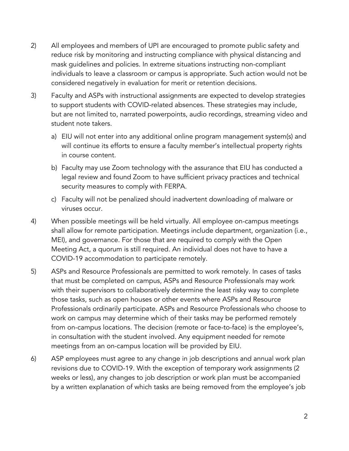- 2) All employees and members of UPI are encouraged to promote public safety and reduce risk by monitoring and instructing compliance with physical distancing and mask guidelines and policies. In extreme situations instructing non-compliant individuals to leave a classroom or campus is appropriate. Such action would not be considered negatively in evaluation for merit or retention decisions.
- 3) Faculty and ASPs with instructional assignments are expected to develop strategies to support students with COVID-related absences. These strategies may include, but are not limited to, narrated powerpoints, audio recordings, streaming video and student note takers.
	- a) EIU will not enter into any additional online program management system(s) and will continue its efforts to ensure a faculty member's intellectual property rights in course content.
	- b) Faculty may use Zoom technology with the assurance that EIU has conducted a legal review and found Zoom to have sufficient privacy practices and technical security measures to comply with FERPA.
	- c) Faculty will not be penalized should inadvertent downloading of malware or viruses occur.
- 4) When possible meetings will be held virtually. All employee on-campus meetings shall allow for remote participation. Meetings include department, organization (i.e., MEI), and governance. For those that are required to comply with the Open Meeting Act, a quorum is still required. An individual does not have to have a COVID-19 accommodation to participate remotely.
- 5) ASPs and Resource Professionals are permitted to work remotely. In cases of tasks that must be completed on campus, ASPs and Resource Professionals may work with their supervisors to collaboratively determine the least risky way to complete those tasks, such as open houses or other events where ASPs and Resource Professionals ordinarily participate. ASPs and Resource Professionals who choose to work on campus may determine which of their tasks may be performed remotely from on-campus locations. The decision (remote or face-to-face) is the employee's, in consultation with the student involved. Any equipment needed for remote meetings from an on-campus location will be provided by EIU.
- 6) ASP employees must agree to any change in job descriptions and annual work plan revisions due to COVID-19. With the exception of temporary work assignments (2 weeks or less), any changes to job description or work plan must be accompanied by a written explanation of which tasks are being removed from the employee's job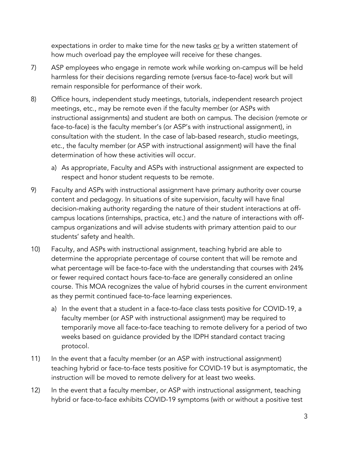expectations in order to make time for the new tasks or by a written statement of how much overload pay the employee will receive for these changes.

- 7) ASP employees who engage in remote work while working on-campus will be held harmless for their decisions regarding remote (versus face-to-face) work but will remain responsible for performance of their work.
- 8) Office hours, independent study meetings, tutorials, independent research project meetings, etc., may be remote even if the faculty member (or ASPs with instructional assignments) and student are both on campus. The decision (remote or face-to-face) is the faculty member's (or ASP's with instructional assignment), in consultation with the student. In the case of lab-based research, studio meetings, etc., the faculty member (or ASP with instructional assignment) will have the final determination of how these activities will occur.
	- a) As appropriate, Faculty and ASPs with instructional assignment are expected to respect and honor student requests to be remote.
- 9) Faculty and ASPs with instructional assignment have primary authority over course content and pedagogy. In situations of site supervision, faculty will have final decision-making authority regarding the nature of their student interactions at offcampus locations (internships, practica, etc.) and the nature of interactions with offcampus organizations and will advise students with primary attention paid to our students' safety and health.
- 10) Faculty, and ASPs with instructional assignment, teaching hybrid are able to determine the appropriate percentage of course content that will be remote and what percentage will be face-to-face with the understanding that courses with 24% or fewer required contact hours face-to-face are generally considered an online course. This MOA recognizes the value of hybrid courses in the current environment as they permit continued face-to-face learning experiences.
	- a) In the event that a student in a face-to-face class tests positive for COVID-19, a faculty member (or ASP with instructional assignment) may be required to temporarily move all face-to-face teaching to remote delivery for a period of two weeks based on guidance provided by the IDPH standard contact tracing protocol.
- 11) In the event that a faculty member (or an ASP with instructional assignment) teaching hybrid or face-to-face tests positive for COVID-19 but is asymptomatic, the instruction will be moved to remote delivery for at least two weeks.
- 12) In the event that a faculty member, or ASP with instructional assignment, teaching hybrid or face-to-face exhibits COVID-19 symptoms (with or without a positive test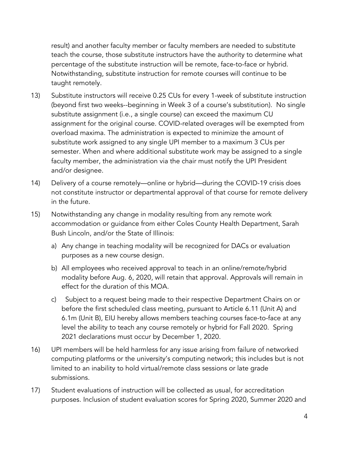result) and another faculty member or faculty members are needed to substitute teach the course, those substitute instructors have the authority to determine what percentage of the substitute instruction will be remote, face-to-face or hybrid. Notwithstanding, substitute instruction for remote courses will continue to be taught remotely.

- 13) Substitute instructors will receive 0.25 CUs for every 1-week of substitute instruction (beyond first two weeks--beginning in Week 3 of a course's substitution). No single substitute assignment (i.e., a single course) can exceed the maximum CU assignment for the original course. COVID-related overages will be exempted from overload maxima. The administration is expected to minimize the amount of substitute work assigned to any single UPI member to a maximum 3 CUs per semester. When and where additional substitute work may be assigned to a single faculty member, the administration via the chair must notify the UPI President and/or designee.
- 14) Delivery of a course remotely—online or hybrid—during the COVID-19 crisis does not constitute instructor or departmental approval of that course for remote delivery in the future.
- 15) Notwithstanding any change in modality resulting from any remote work accommodation or guidance from either Coles County Health Department, Sarah Bush Lincoln, and/or the State of Illinois:
	- a) Any change in teaching modality will be recognized for DACs or evaluation purposes as a new course design.
	- b) All employees who received approval to teach in an online/remote/hybrid modality before Aug. 6, 2020, will retain that approval. Approvals will remain in effect for the duration of this MOA.
	- c) Subject to a request being made to their respective Department Chairs on or before the first scheduled class meeting, pursuant to Article 6.11 (Unit A) and 6.1m (Unit B), EIU hereby allows members teaching courses face-to-face at any level the ability to teach any course remotely or hybrid for Fall 2020. Spring 2021 declarations must occur by December 1, 2020.
- 16) UPI members will be held harmless for any issue arising from failure of networked computing platforms or the university's computing network; this includes but is not limited to an inability to hold virtual/remote class sessions or late grade submissions.
- 17) Student evaluations of instruction will be collected as usual, for accreditation purposes. Inclusion of student evaluation scores for Spring 2020, Summer 2020 and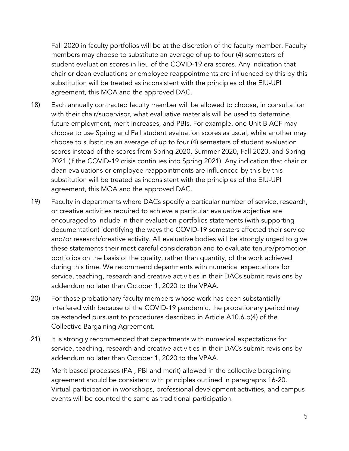Fall 2020 in faculty portfolios will be at the discretion of the faculty member. Faculty members may choose to substitute an average of up to four (4) semesters of student evaluation scores in lieu of the COVID-19 era scores. Any indication that chair or dean evaluations or employee reappointments are influenced by this by this substitution will be treated as inconsistent with the principles of the EIU-UPI agreement, this MOA and the approved DAC.

- 18) Each annually contracted faculty member will be allowed to choose, in consultation with their chair/supervisor, what evaluative materials will be used to determine future employment, merit increases, and PBIs. For example, one Unit B ACF may choose to use Spring and Fall student evaluation scores as usual, while another may choose to substitute an average of up to four (4) semesters of student evaluation scores instead of the scores from Spring 2020, Summer 2020, Fall 2020, and Spring 2021 (if the COVID-19 crisis continues into Spring 2021). Any indication that chair or dean evaluations or employee reappointments are influenced by this by this substitution will be treated as inconsistent with the principles of the EIU-UPI agreement, this MOA and the approved DAC.
- 19) Faculty in departments where DACs specify a particular number of service, research, or creative activities required to achieve a particular evaluative adjective are encouraged to include in their evaluation portfolios statements (with supporting documentation) identifying the ways the COVID-19 semesters affected their service and/or research/creative activity. All evaluative bodies will be strongly urged to give these statements their most careful consideration and to evaluate tenure/promotion portfolios on the basis of the quality, rather than quantity, of the work achieved during this time. We recommend departments with numerical expectations for service, teaching, research and creative activities in their DACs submit revisions by addendum no later than October 1, 2020 to the VPAA.
- 20) For those probationary faculty members whose work has been substantially interfered with because of the COVID-19 pandemic, the probationary period may be extended pursuant to procedures described in Article A10.6.b(4) of the Collective Bargaining Agreement.
- 21) It is strongly recommended that departments with numerical expectations for service, teaching, research and creative activities in their DACs submit revisions by addendum no later than October 1, 2020 to the VPAA.
- 22) Merit based processes (PAI, PBI and merit) allowed in the collective bargaining agreement should be consistent with principles outlined in paragraphs 16-20. Virtual participation in workshops, professional development activities, and campus events will be counted the same as traditional participation.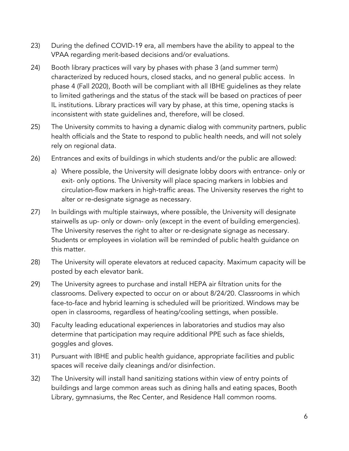- 23) During the defined COVID-19 era, all members have the ability to appeal to the VPAA regarding merit-based decisions and/or evaluations.
- 24) Booth library practices will vary by phases with phase 3 (and summer term) characterized by reduced hours, closed stacks, and no general public access. In phase 4 (Fall 2020), Booth will be compliant with all IBHE guidelines as they relate to limited gatherings and the status of the stack will be based on practices of peer IL institutions. Library practices will vary by phase, at this time, opening stacks is inconsistent with state guidelines and, therefore, will be closed.
- 25) The University commits to having a dynamic dialog with community partners, public health officials and the State to respond to public health needs, and will not solely rely on regional data.
- 26) Entrances and exits of buildings in which students and/or the public are allowed:
	- a) Where possible, the University will designate lobby doors with entrance- only or exit- only options. The University will place spacing markers in lobbies and circulation-flow markers in high-traffic areas. The University reserves the right to alter or re-designate signage as necessary.
- 27) In buildings with multiple stairways, where possible, the University will designate stairwells as up- only or down- only (except in the event of building emergencies). The University reserves the right to alter or re-designate signage as necessary. Students or employees in violation will be reminded of public health guidance on this matter.
- 28) The University will operate elevators at reduced capacity. Maximum capacity will be posted by each elevator bank.
- 29) The University agrees to purchase and install HEPA air filtration units for the classrooms. Delivery expected to occur on or about 8/24/20. Classrooms in which face-to-face and hybrid learning is scheduled will be prioritized. Windows may be open in classrooms, regardless of heating/cooling settings, when possible.
- 30) Faculty leading educational experiences in laboratories and studios may also determine that participation may require additional PPE such as face shields, goggles and gloves.
- 31) Pursuant with IBHE and public health guidance, appropriate facilities and public spaces will receive daily cleanings and/or disinfection.
- 32) The University will install hand sanitizing stations within view of entry points of buildings and large common areas such as dining halls and eating spaces, Booth Library, gymnasiums, the Rec Center, and Residence Hall common rooms.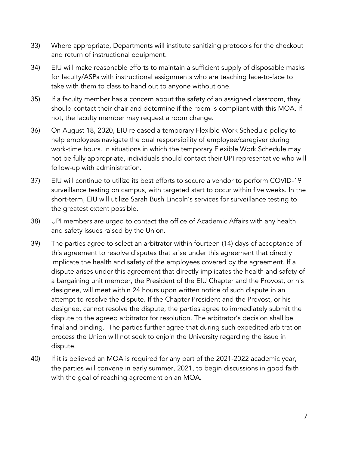- 33) Where appropriate, Departments will institute sanitizing protocols for the checkout and return of instructional equipment.
- 34) EIU will make reasonable efforts to maintain a sufficient supply of disposable masks for faculty/ASPs with instructional assignments who are teaching face-to-face to take with them to class to hand out to anyone without one.
- 35) If a faculty member has a concern about the safety of an assigned classroom, they should contact their chair and determine if the room is compliant with this MOA. If not, the faculty member may request a room change.
- 36) On August 18, 2020, EIU released a temporary Flexible Work Schedule policy to help employees navigate the dual responsibility of employee/caregiver during work-time hours. In situations in which the temporary Flexible Work Schedule may not be fully appropriate, individuals should contact their UPI representative who will follow-up with administration.
- 37) EIU will continue to utilize its best efforts to secure a vendor to perform COVID-19 surveillance testing on campus, with targeted start to occur within five weeks. In the short-term, EIU will utilize Sarah Bush Lincoln's services for surveillance testing to the greatest extent possible.
- 38) UPI members are urged to contact the office of Academic Affairs with any health and safety issues raised by the Union.
- 39) The parties agree to select an arbitrator within fourteen (14) days of acceptance of this agreement to resolve disputes that arise under this agreement that directly implicate the health and safety of the employees covered by the agreement. If a dispute arises under this agreement that directly implicates the health and safety of a bargaining unit member, the President of the EIU Chapter and the Provost, or his designee, will meet within 24 hours upon written notice of such dispute in an attempt to resolve the dispute. If the Chapter President and the Provost, or his designee, cannot resolve the dispute, the parties agree to immediately submit the dispute to the agreed arbitrator for resolution. The arbitrator's decision shall be final and binding. The parties further agree that during such expedited arbitration process the Union will not seek to enjoin the University regarding the issue in dispute.
- 40) If it is believed an MOA is required for any part of the 2021-2022 academic year, the parties will convene in early summer, 2021, to begin discussions in good faith with the goal of reaching agreement on an MOA.